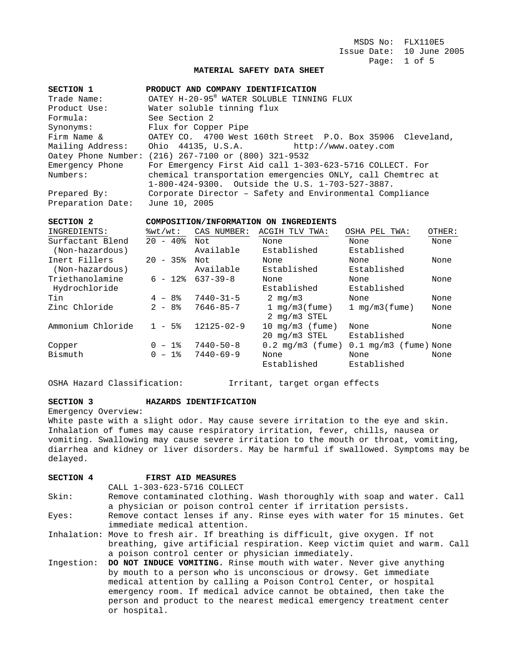MSDS No: FLX110E5 Issue Date: 10 June 2005 Page: 1 of 5

### **MATERIAL SAFETY DATA SHEET**

| SECTION 1         | PRODUCT AND COMPANY IDENTIFICATION                         |  |  |
|-------------------|------------------------------------------------------------|--|--|
| Trade Name:       | OATEY H-20-95 <sup>®</sup> WATER SOLUBLE TINNING FLUX      |  |  |
| Product Use:      | Water soluble tinning flux                                 |  |  |
| Formula:          | See Section 2                                              |  |  |
| Synonyms:         | Flux for Copper Pipe                                       |  |  |
| Firm Name &       | OATEY CO. 4700 West 160th Street P.O. Box 35906 Cleveland, |  |  |
| Mailing Address:  | Ohio 44135, U.S.A. http://www.oatey.com                    |  |  |
|                   | Oatey Phone Number: (216) 267-7100 or (800) 321-9532       |  |  |
| Emergency Phone   | For Emergency First Aid call 1-303-623-5716 COLLECT. For   |  |  |
| Numbers:          | chemical transportation emergencies ONLY, call Chemtrec at |  |  |
|                   | 1-800-424-9300. Outside the U.S. 1-703-527-3887.           |  |  |
| Prepared By:      | Corporate Director - Safety and Environmental Compliance   |  |  |
| Preparation Date: | June 10, 2005                                              |  |  |

### **SECTION 2 COMPOSITION/INFORMATION ON INGREDIENTS**

| INGREDIENTS:      | $\forall w \in E$     | CAS NUMBER:      | ACGIH TLV<br>TWA:         | OSHA PEL TWA:                  | OTHER: |
|-------------------|-----------------------|------------------|---------------------------|--------------------------------|--------|
| Surfactant Blend  | $20 - 40$             | Not              | None                      | None                           | None   |
| (Non-hazardous)   |                       | Available        | Established               | Established                    |        |
| Inert Fillers     | $20 - 35$             | Not              | None                      | None                           | None   |
| (Non-hazardous)   |                       | Available        | Established               | Established                    |        |
| Triethanolamine   | $6 - 12$              | $637 - 39 - 8$   | None                      | None                           | None   |
| Hydrochloride     |                       |                  | Established               | Established                    |        |
| Tin               | $4 - 8$               | $7440 - 31 - 5$  | 2 $mq/m3$                 | None                           | None   |
| Zinc Chloride     | $2 - 8$               | $7646 - 85 - 7$  | 1 $mq/m3$ (fume)          | 1 $mq/m3$ (fume)               | None   |
|                   |                       |                  | $2 \text{ mg/m}$ STEL     |                                |        |
| Ammonium Chloride | $1 - 5$ $\frac{1}{2}$ | $12125 - 02 - 9$ | 10 $mq/m3$ (fume)         | None                           | None   |
|                   |                       |                  | $20 \text{ mg/m}$ 3 STEL  | Established                    |        |
| Copper            | $0 - 1$ %             | $7440 - 50 - 8$  | $0.2 \text{ mg/m}$ (fume) | $0.1 \text{ mg/m}$ (fume) None |        |
| Bismuth           | $0 - 1$ %             | $7440 - 69 - 9$  | None                      | None                           | None   |
|                   |                       |                  | Established               | Established                    |        |

OSHA Hazard Classification: Irritant, target organ effects

### **SECTION 3 HAZARDS IDENTIFICATION**

Emergency Overview:

White paste with a slight odor. May cause severe irritation to the eye and skin. Inhalation of fumes may cause respiratory irritation, fever, chills, nausea or vomiting. Swallowing may cause severe irritation to the mouth or throat, vomiting, diarrhea and kidney or liver disorders. May be harmful if swallowed. Symptoms may be delayed.

### **SECTION 4 FIRST AID MEASURES**

CALL 1-303-623-5716 COLLECT

Skin: Remove contaminated clothing. Wash thoroughly with soap and water. Call a physician or poison control center if irritation persists.

Eyes: Remove contact lenses if any. Rinse eyes with water for 15 minutes. Get immediate medical attention.

Inhalation: Move to fresh air. If breathing is difficult, give oxygen. If not breathing, give artificial respiration. Keep victim quiet and warm. Call a poison control center or physician immediately.

Ingestion: **DO NOT INDUCE VOMITING.** Rinse mouth with water. Never give anything by mouth to a person who is unconscious or drowsy. Get immediate medical attention by calling a Poison Control Center, or hospital emergency room. If medical advice cannot be obtained, then take the person and product to the nearest medical emergency treatment center or hospital.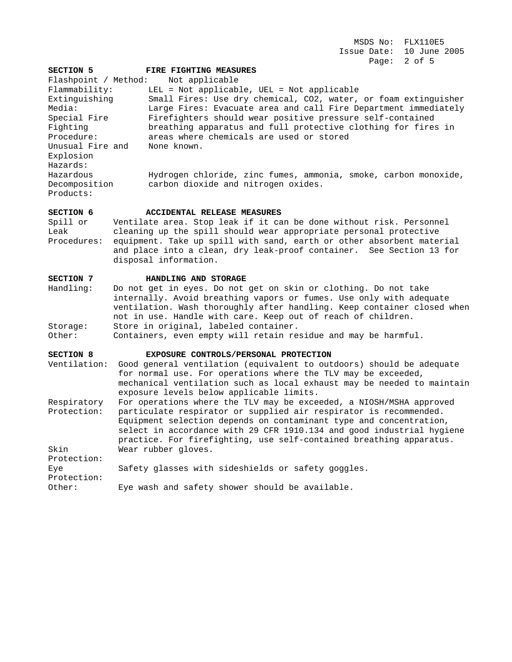MSDS No: FLX110E5 Issue Date: 10 June 2005 Page: 2 of 5

| SECTION 5            | FIRE FIGHTING MEASURES                                                  |  |
|----------------------|-------------------------------------------------------------------------|--|
| Flashpoint / Method: | Not applicable                                                          |  |
| Flammability:        | LEL = Not applicable, UEL = Not applicable                              |  |
| Extinguishing        | Small Fires: Use dry chemical, CO2, water, or foam extinguisher         |  |
| Media:               | Large Fires: Evacuate area and call Fire Department immediately         |  |
| Special Fire         | Firefighters should wear positive pressure self-contained               |  |
| Fighting             | breathing apparatus and full protective clothing for fires in           |  |
| Procedure:           | areas where chemicals are used or stored                                |  |
| Unusual Fire and     | None known.                                                             |  |
| Explosion            |                                                                         |  |
| Hazards:             |                                                                         |  |
| Hazardous            | Hydrogen chloride, zinc fumes, ammonia, smoke, carbon monoxide,         |  |
| Decomposition        | carbon dioxide and nitrogen oxides.                                     |  |
| Products:            |                                                                         |  |
| SECTION 6            | ACCIDENTAL RELEASE MEASURES                                             |  |
| Spill or             | Ventilate area. Stop leak if it can be done without risk. Personnel     |  |
| Leak                 | cleaning up the spill should wear appropriate personal protective       |  |
| Procedures:          | equipment. Take up spill with sand, earth or other absorbent material   |  |
|                      | and place into a clean, dry leak-proof container. See Section 13 for    |  |
|                      | disposal information.                                                   |  |
| SECTION 7            | HANDLING AND STORAGE                                                    |  |
| Handling:            | Do not get in eyes. Do not get on skin or clothing. Do not take         |  |
|                      | internally. Avoid breathing vapors or fumes. Use only with adequate     |  |
|                      | ventilation. Wash thoroughly after handling. Keep container closed when |  |
|                      | not in use. Handle with care. Keep out of reach of children.            |  |

Storage: Store in original, labeled container.

Other: Containers, even empty will retain residue and may be harmful.

## **SECTION 8 EXPOSURE CONTROLS/PERSONAL PROTECTION**

- Ventilation: Good general ventilation (equivalent to outdoors) should be adequate for normal use. For operations where the TLV may be exceeded, mechanical ventilation such as local exhaust may be needed to maintain exposure levels below applicable limits.
- Respiratory For operations where the TLV may be exceeded, a NIOSH/MSHA approved Protection: particulate respirator or supplied air respirator is recommended. Equipment selection depends on contaminant type and concentration, select in accordance with 29 CFR 1910.134 and good industrial hygiene practice. For firefighting, use self-contained breathing apparatus. Skin Wear rubber gloves. Protection:

| Protection: |                                                    |
|-------------|----------------------------------------------------|
| Eye         | Safety glasses with sideshields or safety goggles. |
| Protection: |                                                    |
| Other:      | Eye wash and safety shower should be available.    |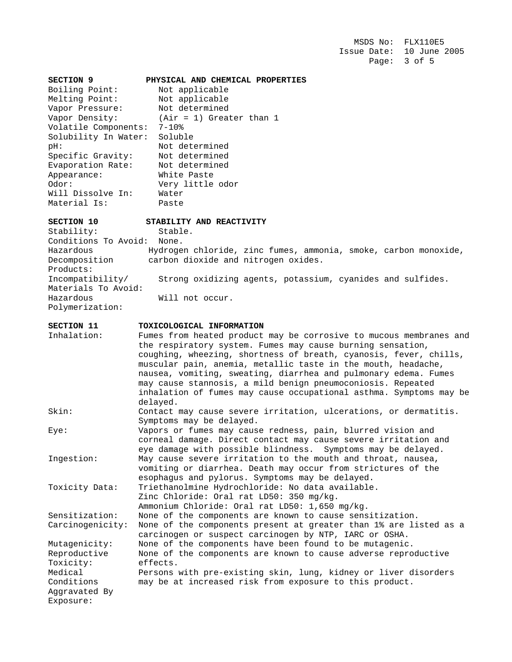MSDS No: FLX110E5 Issue Date: 10 June 2005 Page: 3 of 5

| <b>SECTION 9</b>     | PHYSICAL AND CHEMICAL PROPERTIES |
|----------------------|----------------------------------|
| Boiling Point:       | Not applicable                   |
| Melting Point:       | Not applicable                   |
| Vapor Pressure:      | Not determined                   |
| Vapor Density:       | $(Air = 1)$ Greater than 1       |
| Volatile Components: | $7 - 10$ %                       |
| Solubility In Water: | Soluble                          |
| pH:                  | Not determined                   |
| Specific Gravity:    | Not determined                   |
| Evaporation Rate:    | Not determined                   |
| Appearance:          | White Paste                      |
| Odor:                | Very little odor                 |
| Will Dissolve In:    | Water                            |
| Material Is:         | Paste                            |
|                      |                                  |

### **SECTION 10 STABILITY AND REACTIVITY**

Stability: Stable. Conditions To Avoid: None. Hazardous Hydrogen chloride, zinc fumes, ammonia, smoke, carbon monoxide, Decomposition carbon dioxide and nitrogen oxides. Products:<br>Incompatibility/ Strong oxidizing agents, potassium, cyanides and sulfides. Materials To Avoid: Hazardous Will not occur. Polymerization:

### **SECTION 11 TOXICOLOGICAL INFORMATION**

| Fumes from heated product may be corrosive to mucous membranes and |
|--------------------------------------------------------------------|
| the respiratory system. Fumes may cause burning sensation,         |
| coughing, wheezing, shortness of breath, cyanosis, fever, chills,  |
| muscular pain, anemia, metallic taste in the mouth, headache,      |
| nausea, vomiting, sweating, diarrhea and pulmonary edema. Fumes    |
| may cause stannosis, a mild benign pneumoconiosis. Repeated        |
| inhalation of fumes may cause occupational asthma. Symptoms may be |
| delayed.                                                           |
| Contact may cause severe irritation, ulcerations, or dermatitis.   |
| Symptoms may be delayed.                                           |
| Vapors or fumes may cause redness, pain, blurred vision and        |
| corneal damage. Direct contact may cause severe irritation and     |
| eye damage with possible blindness. Symptoms may be delayed.       |
| May cause severe irritation to the mouth and throat, nausea,       |
| vomiting or diarrhea. Death may occur from strictures of the       |
| esophagus and pylorus. Symptoms may be delayed.                    |
| Triethanolmine Hydrochloride: No data available.                   |
| Zinc Chloride: Oral rat LD50: 350 mg/kg.                           |
| Ammonium Chloride: Oral rat LD50: 1,650 mg/kg.                     |
| None of the components are known to cause sensitization.           |
| None of the components present at greater than 1% are listed as a  |
| carcinogen or suspect carcinogen by NTP, IARC or OSHA.             |
| None of the components have been found to be mutagenic.            |
| None of the components are known to cause adverse reproductive     |
| effects.                                                           |
| Persons with pre-existing skin, lung, kidney or liver disorders    |
| may be at increased risk from exposure to this product.            |
|                                                                    |
|                                                                    |
|                                                                    |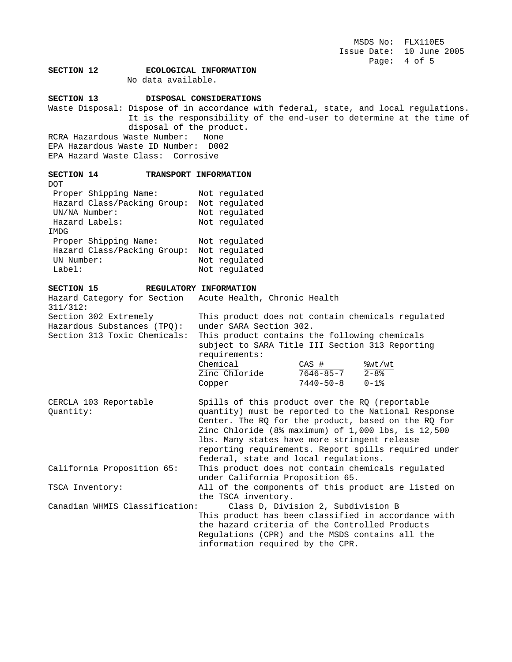MSDS No: FLX110E5 Issue Date: 10 June 2005 Page: 4 of 5

# **SECTION 12 ECOLOGICAL INFORMATION**

No data available.

### **SECTION 13 DISPOSAL CONSIDERATIONS**

Waste Disposal: Dispose of in accordance with federal, state, and local regulations. It is the responsibility of the end-user to determine at the time of disposal of the product.

RCRA Hazardous Waste Number: None EPA Hazardous Waste ID Number: D002 EPA Hazard Waste Class: Corrosive

#### **SECTION 14 TRANSPORT INFORMATION**  $DOP$

| ⊥∪∪                         |               |
|-----------------------------|---------------|
| Proper Shipping Name:       | Not regulated |
| Hazard Class/Packing Group: | Not regulated |
| UN/NA Number:               | Not regulated |
| Hazard Labels:              | Not regulated |
| IMDG                        |               |
| Proper Shipping Name:       | Not regulated |
| Hazard Class/Packing Group: | Not regulated |
| UN Number:                  | Not regulated |
| Label:                      | Not regulated |

### **SECTION 15 REGULATORY INFORMATION**

Hazard Category for Section Acute Health, Chronic Health 311/312:<br>Section 302 Extremely This product does not contain chemicals regulated Hazardous Substances (TPQ): under SARA Section 302. Section 313 Toxic Chemicals: This product contains the following chemicals subject to SARA Title III Section 313 Reporting requirements:  $\frac{\text{Chemical}}{\text{Zinc} \text{ Chloride}}$   $\frac{\text{CAS} \#}{\text{7646-85-7}}$   $\frac{\text{?wt/wt}}{\text{2-8\%}}$  Zinc Chloride 7646-85-7 2-8% Copper 7440-50-8 0-1% CERCLA 103 Reportable Spills of this product over the RQ (reportable

Quantity: quantity) must be reported to the National Response Center. The RQ for the product, based on the RQ for Zinc Chloride (8% maximum) of 1,000 lbs, is 12,500 lbs. Many states have more stringent release reporting requirements. Report spills required under federal, state and local regulations. California Proposition 65: This product does not contain chemicals regulated under California Proposition 65. TSCA Inventory: All of the components of this product are listed on the TSCA inventory. Canadian WHMIS Classification: Class D, Division 2, Subdivision B This product has been classified in accordance with the hazard criteria of the Controlled Products Regulations (CPR) and the MSDS contains all the information required by the CPR.